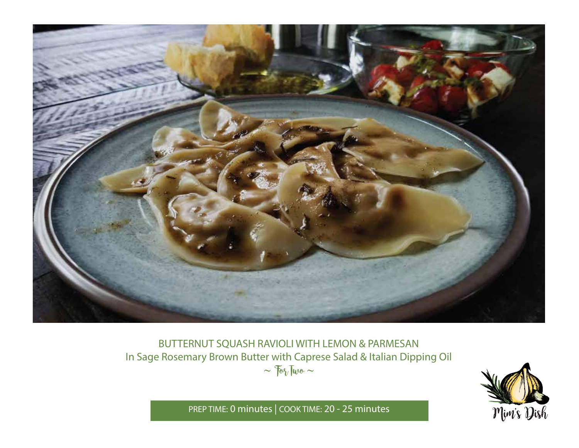

BUTTERNUT SQUASH RAVIOLI WITH LEMON & PARMESAN In Sage Rosemary Brown Butter with Caprese Salad & Italian Dipping Oil  $\sim$   $70\sqrt{100}$   $\sim$ 



PREP TIME: **0 minutes** | COOK TIME: **20 - 25 minutes**